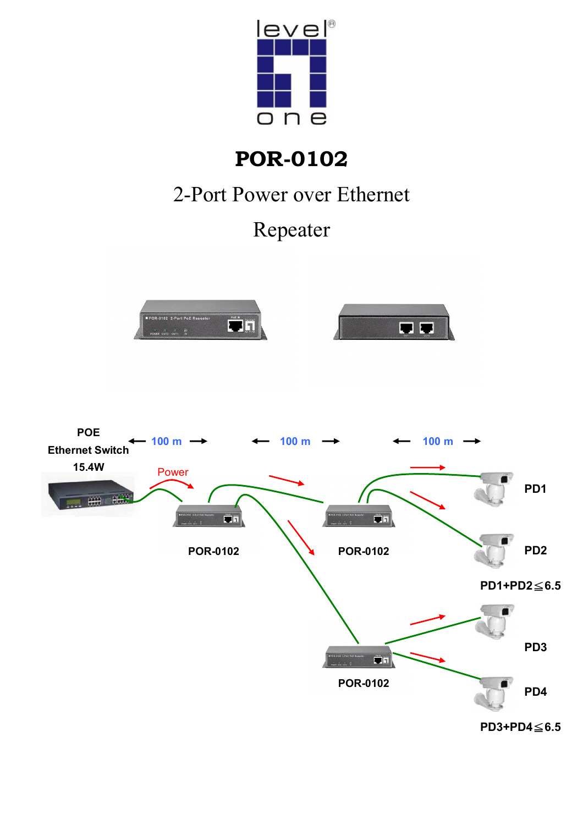

# **POR-0102**

## 2-Port Power over Ethernet

## Repeater



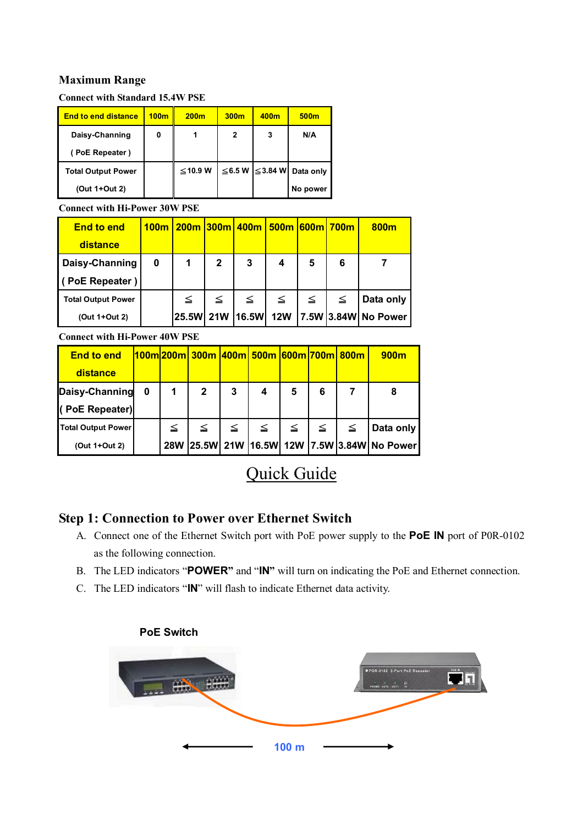#### **Maximum Range**

**Connect with Standard 15.4W PSE**

| <b>End to end distance</b> | 100m | 200 <sub>m</sub> | 300 <sub>m</sub> | 400m          | 500m      |
|----------------------------|------|------------------|------------------|---------------|-----------|
| Daisy-Channing             | 0    |                  | 2                | 3             | N/A       |
| (PoE Repeater)             |      |                  |                  |               |           |
| <b>Total Output Power</b>  |      | ≤10.9 W          | $\leq$ 6.5 W     | $\leq$ 3.84 W | Data only |
| (Out 1+Out 2)              |      |                  |                  |               | No power  |

**Connect with Hi-Power 30W PSE**

| <b>End to end</b>         | 100m |             |              | 200m 300m 400m 500m 600m 700m |            |        |   | 800m                |
|---------------------------|------|-------------|--------------|-------------------------------|------------|--------|---|---------------------|
| distance                  |      |             |              |                               |            |        |   |                     |
| Daisy-Channing            | 0    | $\mathbf 1$ | $\mathbf{2}$ | 3                             | 4          | 5      | 6 |                     |
| PoE Repeater)             |      |             |              |                               |            |        |   |                     |
| <b>Total Output Power</b> |      | ≦           | $\leq$       | $\leq$                        | $\leq$     | $\leq$ | ≦ | Data only           |
| (Out 1+Out 2)             |      | 25.5W 21W   |              | <b>16.5W</b>                  | <b>12W</b> |        |   | 7.5W 3.84W No Power |

**Connect with Hi-Power 40W PSE**

| <b>End to end</b><br>distance    |   |            | <u> 100m 200m  300m  400m  500m  600m 700m  800m</u> |        |   |                          |   |        | 900m                                    |
|----------------------------------|---|------------|------------------------------------------------------|--------|---|--------------------------|---|--------|-----------------------------------------|
| Daisy-Channing<br>(PoE Repeater) | 0 | 1          | $\mathbf{2}$                                         | 3      | 4 | 5                        | 6 | 7      | 8                                       |
| <b>Total Output Power</b>        |   | ≤          | $\leq$                                               | $\leq$ |   | $\leq$   $\leq$   $\leq$ |   | $\leq$ | Data only                               |
| (Out 1+Out 2)                    |   | <b>28W</b> |                                                      |        |   |                          |   |        | 25.5W 21W 16.5W 12W 7.5W 3.84W No Power |

### Quick Guide

#### **Step 1: Connection to Power over Ethernet Switch**

- A. Connect one of the Ethernet Switch port with PoE power supply to the **PoE IN** port of P0R-0102 as the following connection.
- B. The LED indicators "**POWER"** and "**IN"** will turn on indicating the PoE and Ethernet connection.
- C. The LED indicators "**IN**" will flash to indicate Ethernet data activity.